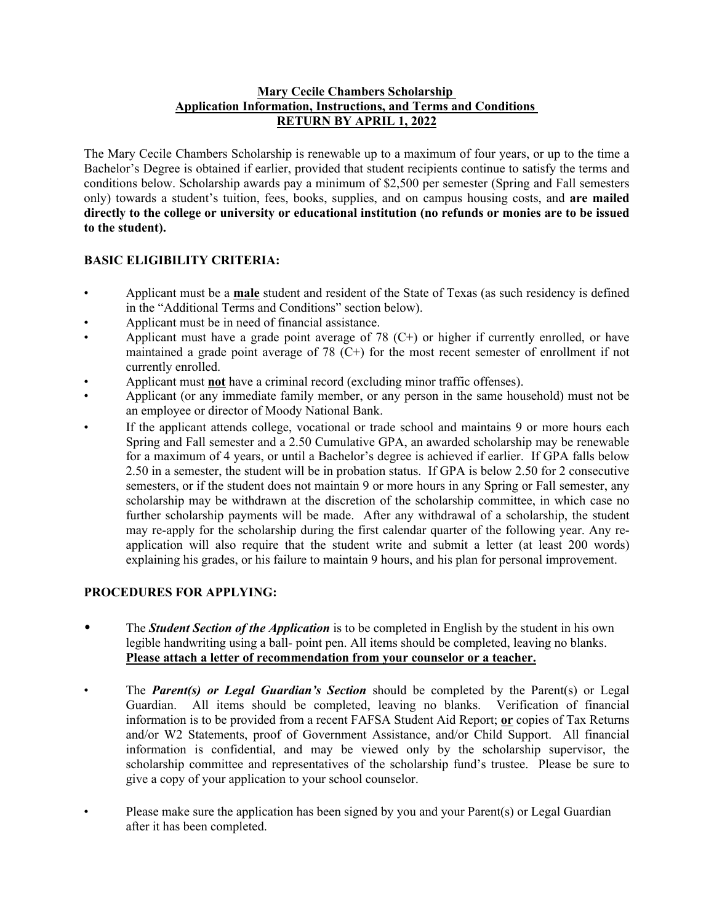#### **Mary Cecile Chambers Scholarship Application Information, Instructions, and Terms and Conditions RETURN BY APRIL 1, 2022**

The Mary Cecile Chambers Scholarship is renewable up to a maximum of four years, or up to the time a Bachelor's Degree is obtained if earlier, provided that student recipients continue to satisfy the terms and conditions below. Scholarship awards pay a minimum of \$2,500 per semester (Spring and Fall semesters only) towards a student's tuition, fees, books, supplies, and on campus housing costs, and **are mailed directly to the college or university or educational institution (no refunds or monies are to be issued to the student).**

### **BASIC ELIGIBILITY CRITERIA:**

- Applicant must be a **male** student and resident of the State of Texas (as such residency is defined in the "Additional Terms and Conditions" section below).
- Applicant must be in need of financial assistance.
- Applicant must have a grade point average of 78  $(C+)$  or higher if currently enrolled, or have maintained a grade point average of 78 (C+) for the most recent semester of enrollment if not currently enrolled.
- Applicant must **not** have a criminal record (excluding minor traffic offenses).
- Applicant (or any immediate family member, or any person in the same household) must not be an employee or director of Moody National Bank.
- If the applicant attends college, vocational or trade school and maintains 9 or more hours each Spring and Fall semester and a 2.50 Cumulative GPA, an awarded scholarship may be renewable for a maximum of 4 years, or until a Bachelor's degree is achieved if earlier. If GPA falls below 2.50 in a semester, the student will be in probation status. If GPA is below 2.50 for 2 consecutive semesters, or if the student does not maintain 9 or more hours in any Spring or Fall semester, any scholarship may be withdrawn at the discretion of the scholarship committee, in which case no further scholarship payments will be made. After any withdrawal of a scholarship, the student may re-apply for the scholarship during the first calendar quarter of the following year. Any reapplication will also require that the student write and submit a letter (at least 200 words) explaining his grades, or his failure to maintain 9 hours, and his plan for personal improvement.

### **PROCEDURES FOR APPLYING:**

- The *Student Section of the Application* is to be completed in English by the student in his own legible handwriting using a ball- point pen. All items should be completed, leaving no blanks. **Please attach a letter of recommendation from your counselor or a teacher.**<br>The *Parent(s) or Legal Guardian's Section* should be completed by the Parent(s) or Legal
- Guardian. All items should be completed, leaving no blanks. Verification of financial information is to be provided from a recent FAFSA Student Aid Report; **or** copies of Tax Returns and/or W2 Statements, proof of Government Assistance, and/or Child Support. All financial information is confidential, and may be viewed only by the scholarship supervisor, the scholarship committee and representatives of the scholarship fund's trustee. Please be sure to give a copy of your application to your school counselor.
- Please make sure the application has been signed by you and your Parent(s) or Legal Guardian after it has been completed.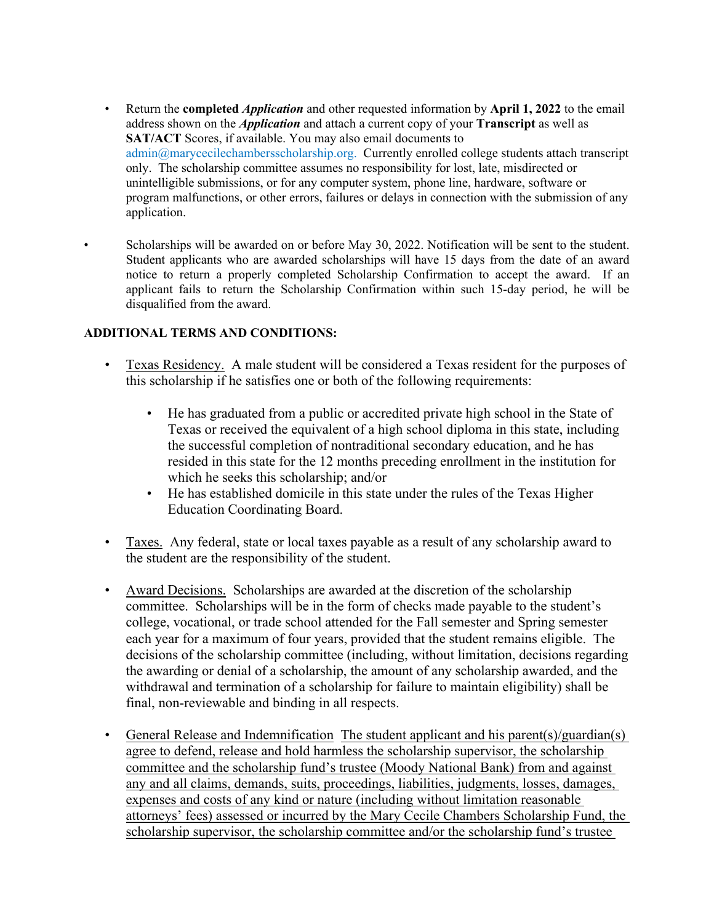- Return the **completed** *Application* and other requested information by **April 1, 2022** to the email address shown on the *Application* and attach a current copy of your **Transcript** as well as **SAT/ACT** Scores, if available. You may also email documents to admin@marycecilechambersscholarship.org. Currently enrolled college students attach transcript only. The scholarship committee assumes no responsibility for lost, late, misdirected or unintelligible submissions, or for any computer system, phone line, hardware, software or program malfunctions, or other errors, failures or delays in connection with the submission of any application.<br>• Scholarships will be awarded on or before May 30, 2022. Notification will be sent to the student.
- Student applicants who are awarded scholarships will have 15 days from the date of an award notice to return a properly completed Scholarship Confirmation to accept the award. If an applicant fails to return the Scholarship Confirmation within such 15-day period, he will be disqualified from the award.

### **ADDITIONAL TERMS AND CONDITIONS:**

- Texas Residency. A male student will be considered a Texas resident for the purposes of this scholarship if he satisfies one or both of the following requirements:
	- He has graduated from a public or accredited private high school in the State of Texas or received the equivalent of a high school diploma in this state, including the successful completion of nontraditional secondary education, and he has resided in this state for the 12 months preceding enrollment in the institution for which he seeks this scholarship; and/or
	- He has established domicile in this state under the rules of the Texas Higher Education Coordinating Board.
- Taxes. Any federal, state or local taxes payable as a result of any scholarship award to the student are the responsibility of the student.
- Award Decisions. Scholarships are awarded at the discretion of the scholarship committee. Scholarships will be in the form of checks made payable to the student's college, vocational, or trade school attended for the Fall semester and Spring semester each year for a maximum of four years, provided that the student remains eligible. The decisions of the scholarship committee (including, without limitation, decisions regarding the awarding or denial of a scholarship, the amount of any scholarship awarded, and the withdrawal and termination of a scholarship for failure to maintain eligibility) shall be final, non-reviewable and binding in all respects.<br>• General Release and Indemnification The student applicant and his parent(s)/guardian(s)
- agree to defend, release and hold harmless the scholarship supervisor, the scholarship committee and the scholarship fund's trustee (Moody National Bank) from and against any and all claims, demands, suits, proceedings, liabilities, judgments, losses, damages, expenses and costs of any kind or nature (including without limitation reasonable attorneys' fees) assessed or incurred by the Mary Cecile Chambers Scholarship Fund, the scholarship supervisor, the scholarship committee and/or the scholarship fund's trustee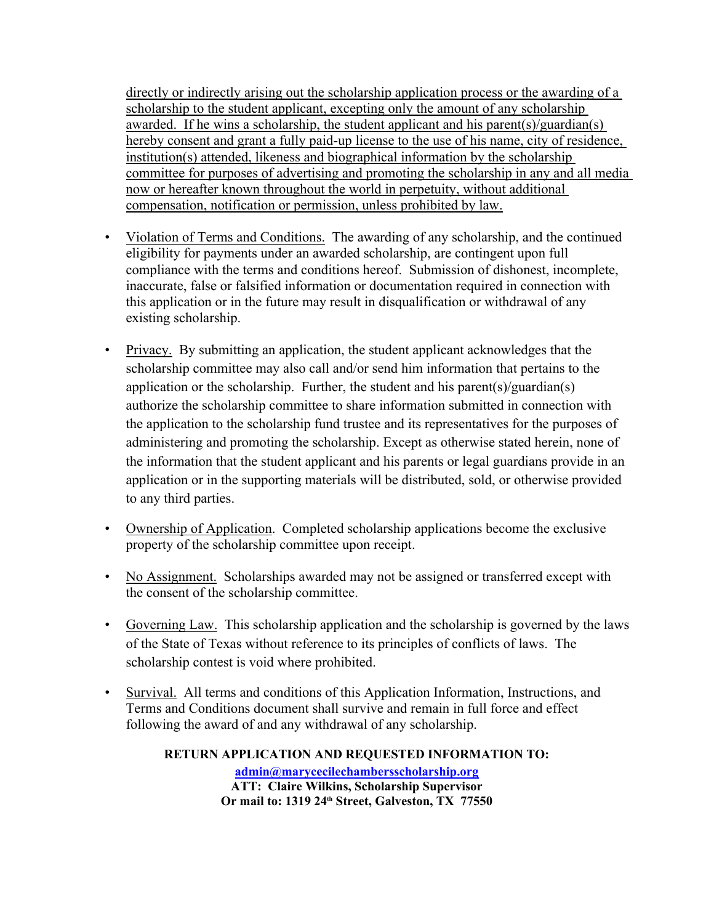directly or indirectly arising out the scholarship application process or the awarding of a scholarship to the student applicant, excepting only the amount of any scholarship awarded. If he wins a scholarship, the student applicant and his parent(s)/guardian(s) hereby consent and grant a fully paid-up license to the use of his name, city of residence, institution(s) attended, likeness and biographical information by the scholarship committee for purposes of advertising and promoting the scholarship in any and all media now or hereafter known throughout the world in perpetuity, without additional compensation, notification or permission, unless prohibited by law.

- Violation of Terms and Conditions. The awarding of any scholarship, and the continued eligibility for payments under an awarded scholarship, are contingent upon full compliance with the terms and conditions hereof. Submission of dishonest, incomplete, inaccurate, false or falsified information or documentation required in connection with this application or in the future may result in disqualification or withdrawal of any existing scholarship.<br>
• Privacy. By submitting an application, the student applicant acknowledges that the
- scholarship committee may also call and/or send him information that pertains to the application or the scholarship. Further, the student and his parent(s)/guardian(s) authorize the scholarship committee to share information submitted in connection with the application to the scholarship fund trustee and its representatives for the purposes of administering and promoting the scholarship. Except as otherwise stated herein, none of the information that the student applicant and his parents or legal guardians provide in an application or in the supporting materials will be distributed, sold, or otherwise provided
- to any third parties.<br>
 Ownership of Application. Completed scholarship applications become the exclusive property of the scholarship committee upon receipt.
- No Assignment. Scholarships awarded may not be assigned or transferred except with the consent of the scholarship committee.
- Governing Law. This scholarship application and the scholarship is governed by the laws of the State of Texas without reference to its principles of conflicts of laws. The scholarship contest is void where prohibited.
- Survival. All terms and conditions of this Application Information, Instructions, and Terms and Conditions document shall survive and remain in full force and effect following the award of and any withdrawal of any scholarship.

**RETURN APPLICATION AND REQUESTED INFORMATION TO: admin@marycecilechambersscholarship.org ATT: Claire Wilkins, Scholarship Supervisor Or mail to: 1319 24th Street, Galveston, TX 77550**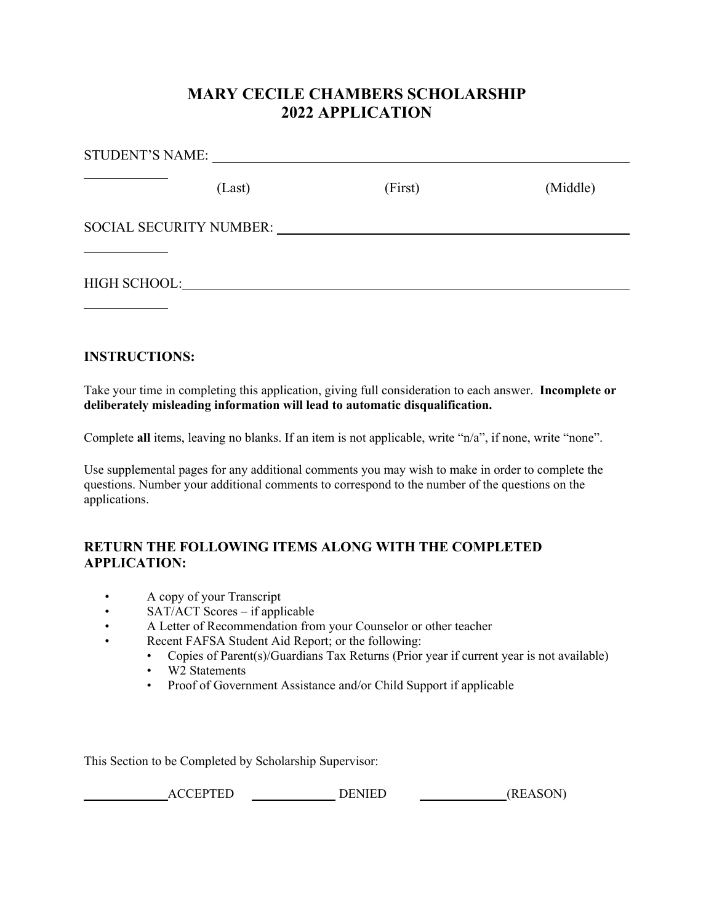## **MARY CECILE CHAMBERS SCHOLARSHIP 2022 APPLICATION**

| (Last) | (First) | (Middle) |
|--------|---------|----------|
|        |         |          |
|        |         |          |

## **INSTRUCTIONS:**

Take your time in completing this application, giving full consideration to each answer. **Incomplete or deliberately misleading information will lead to automatic disqualification.**

Complete **all** items, leaving no blanks. If an item is not applicable, write "n/a", if none, write "none".

Use supplemental pages for any additional comments you may wish to make in order to complete the questions. Number your additional comments to correspond to the number of the questions on the applications.

## **RETURN THE FOLLOWING ITEMS ALONG WITH THE COMPLETED APPLICATION:**

- A copy of your Transcript
- SAT/ACT Scores if applicable
- A Letter of Recommendation from your Counselor or other teacher
- Recent FAFSA Student Aid Report; or the following:
	- Copies of Parent(s)/Guardians Tax Returns (Prior year if current year is not available)
	- W<sub>2</sub> Statements
	- Proof of Government Assistance and/or Child Support if applicable

This Section to be Completed by Scholarship Supervisor:

ACCEPTED DENIED (REASON)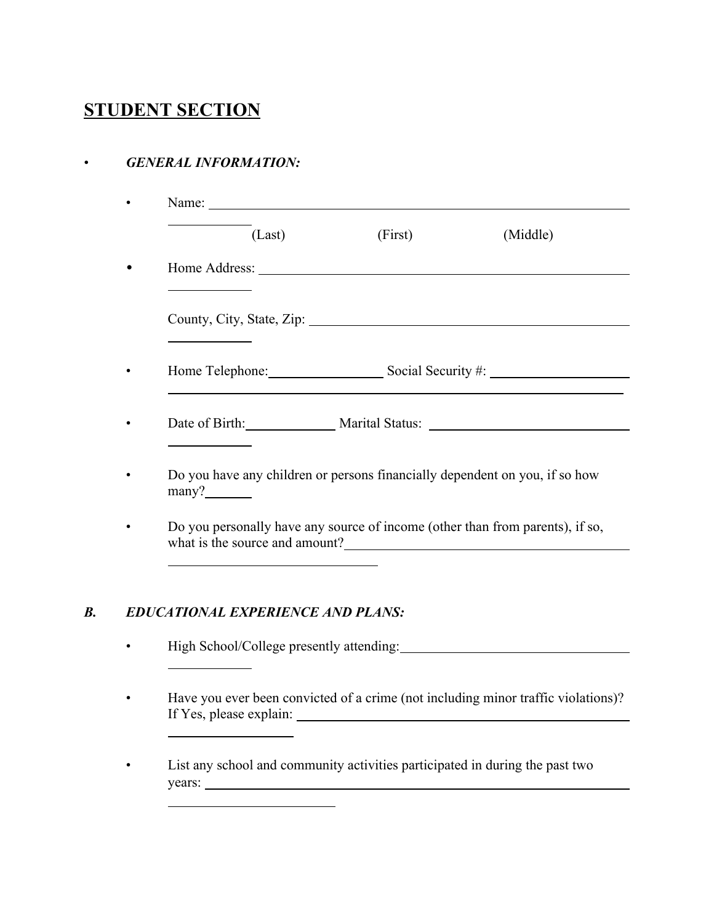# **STUDENT SECTION**

## • *GENERAL INFORMATION:*

| (Last) | (First)                                                                                                                                                                                                                        | (Middle)                           |
|--------|--------------------------------------------------------------------------------------------------------------------------------------------------------------------------------------------------------------------------------|------------------------------------|
|        |                                                                                                                                                                                                                                |                                    |
|        | County, City, State, Zip: 2008. Example 2014. The State of Table 2014. The State of Table 2014. The State of Table 2014. The State of Table 2014. The State of Table 2014. The State of Table 2014. The State of Table 2014. T |                                    |
|        |                                                                                                                                                                                                                                | Home Telephone: Social Security #: |
|        |                                                                                                                                                                                                                                | Date of Birth: Marital Status:     |

• Do you personally have any source of income (other than from parents), if so, what is the source and amount?

## *B. EDUCATIONAL EXPERIENCE AND PLANS:*

• High School/College presently attending:

• Have you ever been convicted of a crime (not including minor traffic violations)? If Yes, please explain: <u>• List any school and community activities participated in during the past two</u>

years: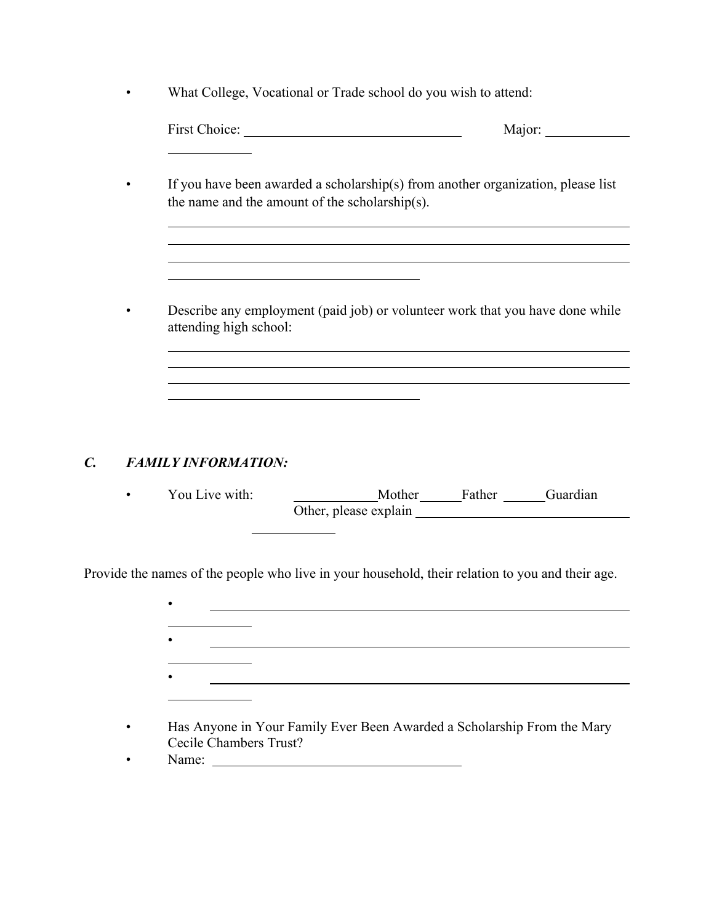• What College, Vocational or Trade school do you wish to attend:

| the name and the amount of the scholarship(s). | If you have been awarded a scholarship(s) from another organization, please list |
|------------------------------------------------|----------------------------------------------------------------------------------|
| attending high school:                         | Describe any employment (paid job) or volunteer work that you have done while    |
|                                                |                                                                                  |

# *C. FAMILY INFORMATION:*

| You Live with: | Mother                | Father | Guardian |
|----------------|-----------------------|--------|----------|
|                | Other, please explain |        |          |

Provide the names of the people who live in your household, their relation to you and their age.

 $\overline{\phantom{a}}$ 

| Her Anyone in Vous Fourily Even Dean, Assembed a Calcelandin From the Mary |
|----------------------------------------------------------------------------|

- Has Anyone in Your Family Ever Been Awarded a Scholarship From the Mary Cecile Chambers Trust?
- Name: <u>Name:</u> Name: 2008. Name: 2008. Name: 2008. Name: 2008. Name: 2008. Name: 2008. Name: 2008. Name: 2008. Name: 2008. Name: 2008. Name: 2008. Name: 2008. Name: 2008. Name: 2008. Name: 2008. Name: 2008. Name: 2008. Na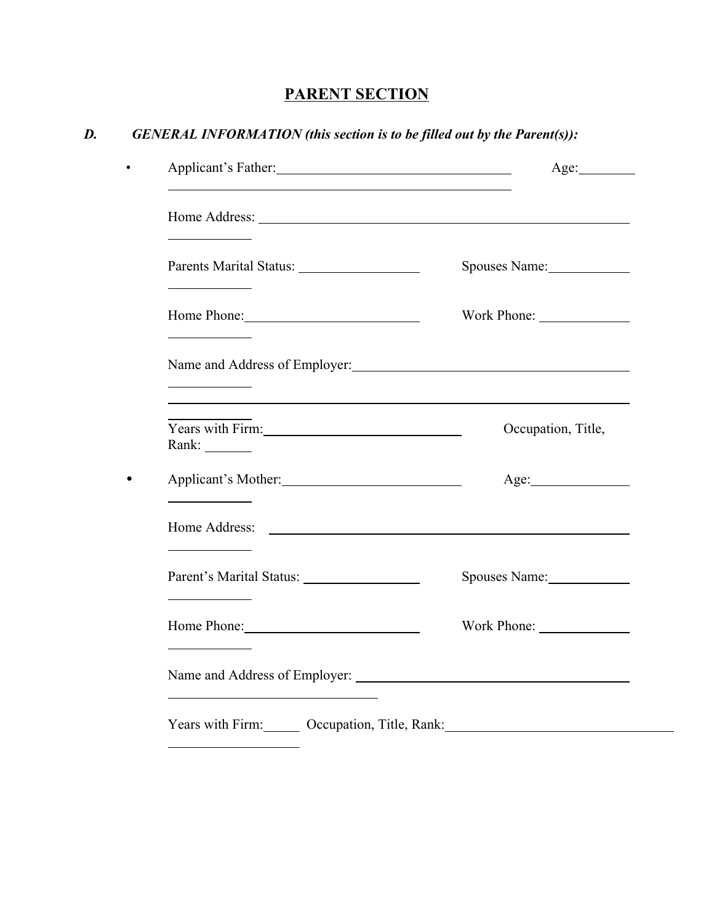# **PARENT SECTION**

# *D. GENERAL INFORMATION (this section is to be filled out by the Parent(s)):*

|                                                                     | Spouses Name:      |
|---------------------------------------------------------------------|--------------------|
| the control of the control of the                                   | Work Phone:        |
| Name and Address of Employer:                                       |                    |
| Years with Firm:<br>Rank: ________                                  | Occupation, Title, |
| Applicant's Mother:<br>the control of the control of the control of | Age:               |
| the control of the control of the                                   |                    |
|                                                                     | Spouses Name:      |
| Home Phone:                                                         |                    |
|                                                                     |                    |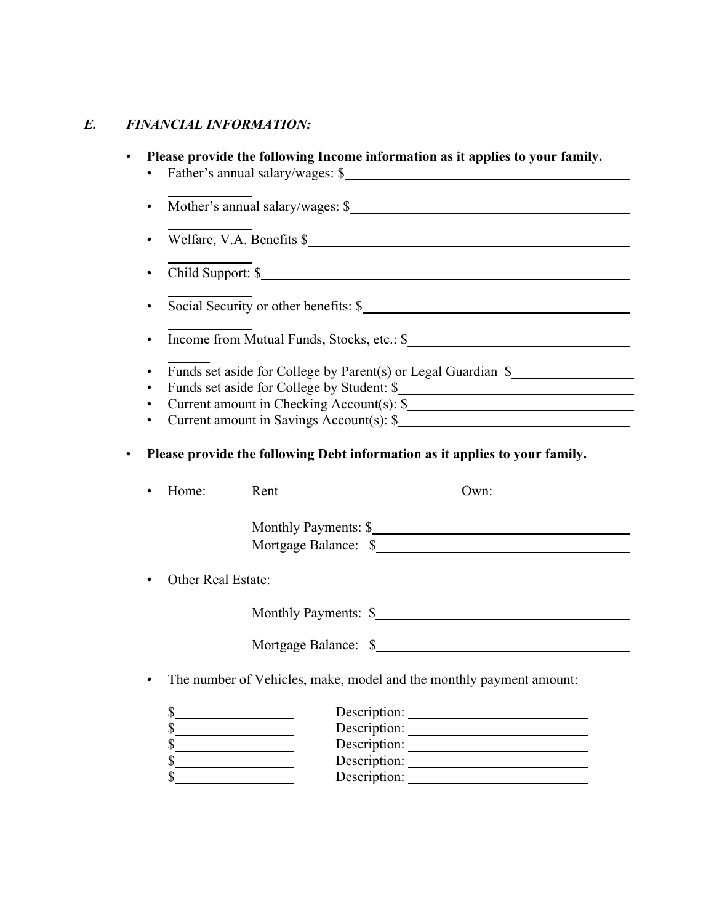## *E. FINANCIAL INFORMATION:*

| $\bullet$                   |                                                                             |                                                                                                                                                                                                                                                                                                                                                                                                                   |      |
|-----------------------------|-----------------------------------------------------------------------------|-------------------------------------------------------------------------------------------------------------------------------------------------------------------------------------------------------------------------------------------------------------------------------------------------------------------------------------------------------------------------------------------------------------------|------|
| $\bullet$                   | Welfare, V.A. Benefits \$                                                   |                                                                                                                                                                                                                                                                                                                                                                                                                   |      |
| $\bullet$                   | Child Support: \$                                                           |                                                                                                                                                                                                                                                                                                                                                                                                                   |      |
| $\bullet$                   | Social Security or other benefits: \$                                       |                                                                                                                                                                                                                                                                                                                                                                                                                   |      |
| $\bullet$                   |                                                                             |                                                                                                                                                                                                                                                                                                                                                                                                                   |      |
| ٠<br>$\bullet$<br>$\bullet$ | Current amount in Checking Account(s): \$                                   |                                                                                                                                                                                                                                                                                                                                                                                                                   |      |
|                             | Please provide the following Debt information as it applies to your family. |                                                                                                                                                                                                                                                                                                                                                                                                                   |      |
| Home:<br>$\bullet$          |                                                                             | Rent $\frac{1}{\sqrt{1-\frac{1}{2}}\sqrt{1-\frac{1}{2}}\sqrt{1-\frac{1}{2}}\sqrt{1-\frac{1}{2}}\sqrt{1-\frac{1}{2}}\sqrt{1-\frac{1}{2}}\sqrt{1-\frac{1}{2}}\sqrt{1-\frac{1}{2}}\sqrt{1-\frac{1}{2}}\sqrt{1-\frac{1}{2}}\sqrt{1-\frac{1}{2}}\sqrt{1-\frac{1}{2}}\sqrt{1-\frac{1}{2}}\sqrt{1-\frac{1}{2}}\sqrt{1-\frac{1}{2}}\sqrt{1-\frac{1}{2}}\sqrt{1-\frac{1}{2}}\sqrt{1-\frac{1}{2}}\sqrt{1-\frac{1}{2}}\sqrt$ | Own: |
|                             |                                                                             | Monthly Payments: \$                                                                                                                                                                                                                                                                                                                                                                                              |      |
| $\bullet$                   | Other Real Estate:                                                          |                                                                                                                                                                                                                                                                                                                                                                                                                   |      |
|                             |                                                                             | Monthly Payments: \$                                                                                                                                                                                                                                                                                                                                                                                              |      |
|                             |                                                                             |                                                                                                                                                                                                                                                                                                                                                                                                                   |      |
| $\bullet$                   | The number of Vehicles, make, model and the monthly payment amount:         |                                                                                                                                                                                                                                                                                                                                                                                                                   |      |
| $S_{-}$                     | <u> 1989 - Johann Barn, mars ann an t-A</u><br>s<br>s                       | Description:                                                                                                                                                                                                                                                                                                                                                                                                      |      |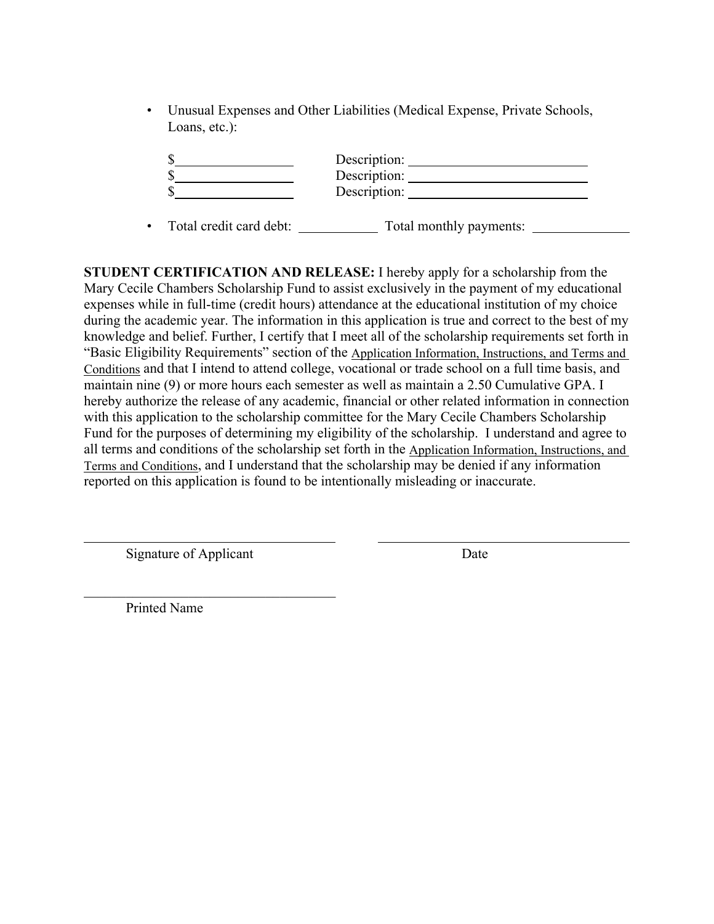• Unusual Expenses and Other Liabilities (Medical Expense, Private Schools, Loans, etc.):

| Description: |  |
|--------------|--|
|              |  |
| Description: |  |

• Total credit card debt: Total monthly payments:

**STUDENT CERTIFICATION AND RELEASE:** I hereby apply for a scholarship from the Mary Cecile Chambers Scholarship Fund to assist exclusively in the payment of my educational expenses while in full-time (credit hours) attendance at the educational institution of my choice during the academic year. The information in this application is true and correct to the best of my knowledge and belief. Further, I certify that I meet all of the scholarship requirements set forth in "Basic Eligibility Requirements" section of the Application Information, Instructions, and Terms and Conditions and that I intend to attend college, vocational or trade school on a full time basis, and maintain nine (9) or more hours each semester as well as maintain a 2.50 Cumulative GPA. I hereby authorize the release of any academic, financial or other related information in connection with this application to the scholarship committee for the Mary Cecile Chambers Scholarship Fund for the purposes of determining my eligibility of the scholarship. I understand and agree to all terms and conditions of the scholarship set forth in the Application Information, Instructions, and Terms and Conditions, and I understand that the scholarship may be denied if any information reported on this application is found to be intentionally misleading or inaccurate.

Signature of Applicant Date

 $\mathcal{L}_\text{max}$  , we can assume that the contribution of  $\mathcal{L}_\text{max}$ 

Printed Name